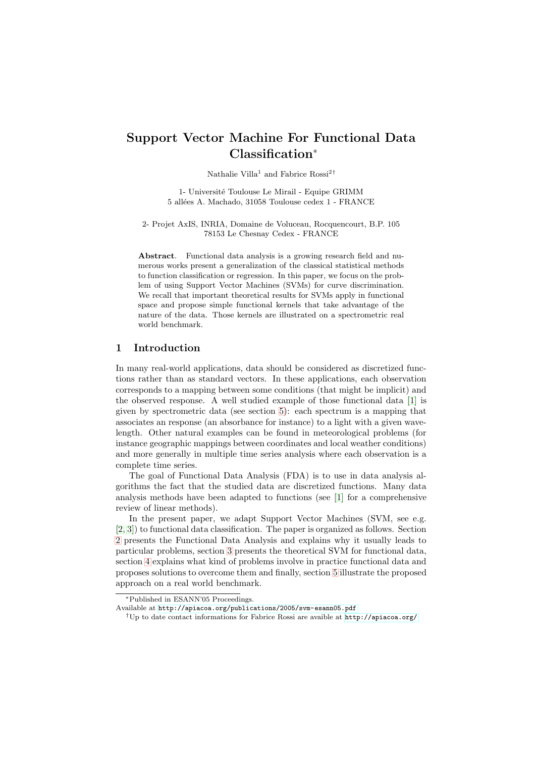# Support Vector Machine For Functional Data Classification<sup>∗</sup>

Nathalie Villa<sup>1</sup> and Fabrice  $\mathrm{Rossi}^{2 \, \dagger}$ 

1- Université Toulouse Le Mirail - Equipe GRIMM 5 allées A. Machado, 31058 Toulouse cedex 1 - FRANCE

2- Projet AxIS, INRIA, Domaine de Voluceau, Rocquencourt, B.P. 105 78153 Le Chesnay Cedex - FRANCE

Abstract. Functional data analysis is a growing research field and numerous works present a generalization of the classical statistical methods to function classification or regression. In this paper, we focus on the problem of using Support Vector Machines (SVMs) for curve discrimination. We recall that important theoretical results for SVMs apply in functional space and propose simple functional kernels that take advantage of the nature of the data. Those kernels are illustrated on a spectrometric real world benchmark.

### 1 Introduction

In many real-world applications, data should be considered as discretized functions rather than as standard vectors. In these applications, each observation corresponds to a mapping between some conditions (that might be implicit) and the observed response. A well studied example of those functional data [\[1\]](#page-5-0) is given by spectrometric data (see section [5\)](#page-4-0): each spectrum is a mapping that associates an response (an absorbance for instance) to a light with a given wavelength. Other natural examples can be found in meteorological problems (for instance geographic mappings between coordinates and local weather conditions) and more generally in multiple time series analysis where each observation is a complete time series.

The goal of Functional Data Analysis (FDA) is to use in data analysis algorithms the fact that the studied data are discretized functions. Many data analysis methods have been adapted to functions (see [\[1\]](#page-5-0) for a comprehensive review of linear methods).

In the present paper, we adapt Support Vector Machines (SVM, see e.g. [\[2,](#page-5-1) [3\]](#page-5-2)) to functional data classification. The paper is organized as follows. Section [2](#page-1-0) presents the Functional Data Analysis and explains why it usually leads to particular problems, section [3](#page-1-1) presents the theoretical SVM for functional data, section [4](#page-3-0) explains what kind of problems involve in practice functional data and proposes solutions to overcome them and finally, section [5](#page-4-0) illustrate the proposed approach on a real world benchmark.

<sup>∗</sup>Published in ESANN'05 Proceedings.

Available at <http://apiacoa.org/publications/2005/svm-esann05.pdf>

<sup>†</sup>Up to date contact informations for Fabrice Rossi are avaible at <http://apiacoa.org/>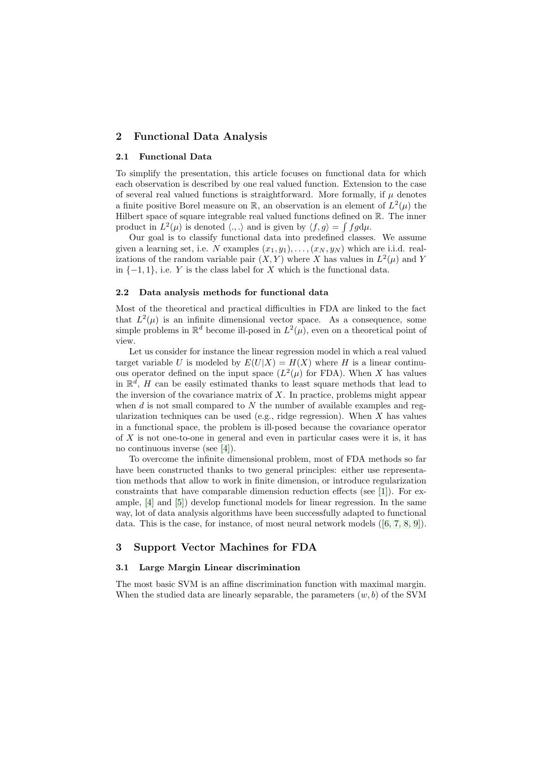# <span id="page-1-0"></span>2 Functional Data Analysis

#### 2.1 Functional Data

To simplify the presentation, this article focuses on functional data for which each observation is described by one real valued function. Extension to the case of several real valued functions is straightforward. More formally, if  $\mu$  denotes a finite positive Borel measure on  $\mathbb{R}$ , an observation is an element of  $L^2(\mu)$  the Hilbert space of square integrable real valued functions defined on  $\mathbb{R}$ . The inner product in  $L^2(\mu)$  is denoted  $\langle .,.\rangle$  and is given by  $\langle f,g\rangle = \int fg d\mu$ .

Our goal is to classify functional data into predefined classes. We assume given a learning set, i.e. N examples  $(x_1, y_1), \ldots, (x_N, y_N)$  which are i.i.d. realizations of the random variable pair  $(X, Y)$  where X has values in  $L^2(\mu)$  and Y in  $\{-1, 1\}$ , i.e. Y is the class label for X which is the functional data.

### 2.2 Data analysis methods for functional data

Most of the theoretical and practical difficulties in FDA are linked to the fact that  $L^2(\mu)$  is an infinite dimensional vector space. As a consequence, some simple problems in  $\mathbb{R}^d$  become ill-posed in  $L^2(\mu)$ , even on a theoretical point of view.

Let us consider for instance the linear regression model in which a real valued target variable U is modeled by  $E(U|X) = H(X)$  where H is a linear continuous operator defined on the input space  $(L^2(\mu)$  for FDA). When X has values in  $\mathbb{R}^d$ , H can be easily estimated thanks to least square methods that lead to the inversion of the covariance matrix of  $X$ . In practice, problems might appear when  $d$  is not small compared to  $N$  the number of available examples and regularization techniques can be used (e.g., ridge regression). When  $X$  has values in a functional space, the problem is ill-posed because the covariance operator of X is not one-to-one in general and even in particular cases were it is, it has no continuous inverse (see [\[4\]](#page-5-3)).

To overcome the infinite dimensional problem, most of FDA methods so far have been constructed thanks to two general principles: either use representation methods that allow to work in finite dimension, or introduce regularization constraints that have comparable dimension reduction effects (see [\[1\]](#page-5-0)). For example, [\[4\]](#page-5-3) and [\[5\]](#page-5-4)) develop functional models for linear regression. In the same way, lot of data analysis algorithms have been successfully adapted to functional data. This is the case, for instance, of most neural network models ([\[6,](#page-5-5) [7,](#page-5-6) [8,](#page-5-7) [9\]](#page-5-8)).

### <span id="page-1-1"></span>3 Support Vector Machines for FDA

#### <span id="page-1-2"></span>3.1 Large Margin Linear discrimination

The most basic SVM is an affine discrimination function with maximal margin. When the studied data are linearly separable, the parameters  $(w, b)$  of the SVM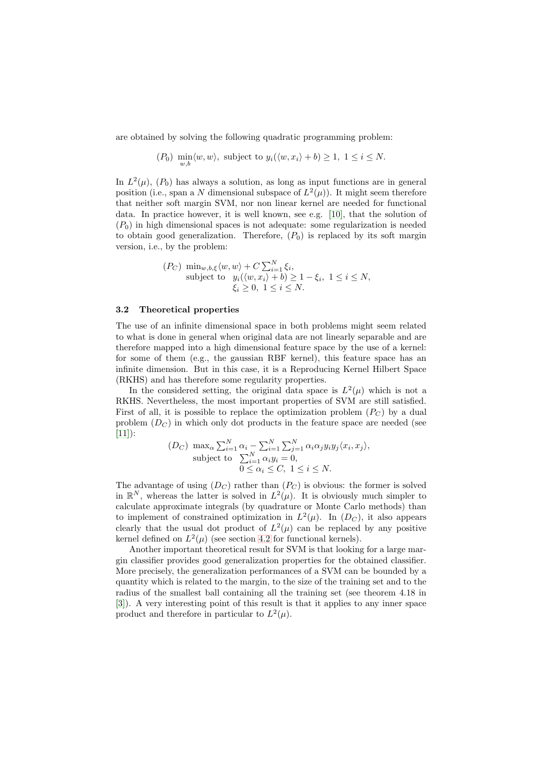are obtained by solving the following quadratic programming problem:

$$
(P_0) \min_{w,b} \langle w, w \rangle, \text{ subject to } y_i(\langle w, x_i \rangle + b) \ge 1, \ 1 \le i \le N.
$$

In  $L^2(\mu)$ ,  $(P_0)$  has always a solution, as long as input functions are in general position (i.e., span a N dimensional subspace of  $L^2(\mu)$ ). It might seem therefore that neither soft margin SVM, nor non linear kernel are needed for functional data. In practice however, it is well known, see e.g. [\[10\]](#page-5-9), that the solution of  $(P<sub>0</sub>)$  in high dimensional spaces is not adequate: some regularization is needed to obtain good generalization. Therefore,  $(P_0)$  is replaced by its soft margin version, i.e., by the problem:

$$
(P_C) \min_{w,b,\xi} \langle w, w \rangle + C \sum_{i=1}^{N} \xi_i,
$$
  
subject to  $y_i(\langle w, x_i \rangle + b) \ge 1 - \xi_i, 1 \le i \le N,$   
 $\xi_i \ge 0, 1 \le i \le N.$ 

#### 3.2 Theoretical properties

The use of an infinite dimensional space in both problems might seem related to what is done in general when original data are not linearly separable and are therefore mapped into a high dimensional feature space by the use of a kernel: for some of them (e.g., the gaussian RBF kernel), this feature space has an infinite dimension. But in this case, it is a Reproducing Kernel Hilbert Space (RKHS) and has therefore some regularity properties.

In the considered setting, the original data space is  $L^2(\mu)$  which is not a RKHS. Nevertheless, the most important properties of SVM are still satisfied. First of all, it is possible to replace the optimization problem  $(P_C)$  by a dual problem  $(D<sub>C</sub>)$  in which only dot products in the feature space are needed (see  $[11]$ :

$$
(D_C) \max_{\alpha} \sum_{i=1}^{N} \alpha_i - \sum_{i=1}^{N} \sum_{j=1}^{N} \alpha_i \alpha_j y_i y_j \langle x_i, x_j \rangle,
$$
  
subject to 
$$
\sum_{i=1}^{N} \alpha_i y_i = 0,
$$
  

$$
0 \le \alpha_i \le C, 1 \le i \le N.
$$

The advantage of using  $(D<sub>C</sub>)$  rather than  $(P<sub>C</sub>)$  is obvious: the former is solved in  $\mathbb{R}^N$ , whereas the latter is solved in  $L^2(\mu)$ . It is obviously much simpler to calculate approximate integrals (by quadrature or Monte Carlo methods) than to implement of constrained optimization in  $L^2(\mu)$ . In  $(D_C)$ , it also appears clearly that the usual dot product of  $L^2(\mu)$  can be replaced by any positive kernel defined on  $L^2(\mu)$  (see section [4.2](#page-3-1) for functional kernels).

Another important theoretical result for SVM is that looking for a large margin classifier provides good generalization properties for the obtained classifier. More precisely, the generalization performances of a SVM can be bounded by a quantity which is related to the margin, to the size of the training set and to the radius of the smallest ball containing all the training set (see theorem 4.18 in [\[3\]](#page-5-2)). A very interesting point of this result is that it applies to any inner space product and therefore in particular to  $L^2(\mu)$ .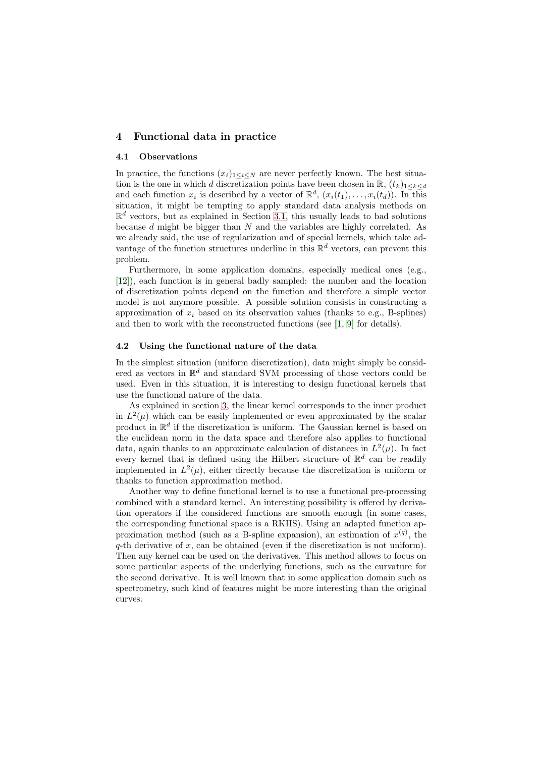# <span id="page-3-0"></span>4 Functional data in practice

#### 4.1 Observations

In practice, the functions  $(x_i)_{1\leq i\leq N}$  are never perfectly known. The best situation is the one in which d discretization points have been chosen in  $\mathbb{R}$ ,  $(t_k)_{1\leq k\leq d}$ and each function  $x_i$  is described by a vector of  $\mathbb{R}^d$ ,  $(x_i(t_1), \ldots, x_i(t_d))$ . In this situation, it might be tempting to apply standard data analysis methods on  $\mathbb{R}^d$  vectors, but as explained in Section [3.1,](#page-1-2) this usually leads to bad solutions because  $d$  might be bigger than  $N$  and the variables are highly correlated. As we already said, the use of regularization and of special kernels, which take advantage of the function structures underline in this  $\mathbb{R}^d$  vectors, can prevent this problem.

Furthermore, in some application domains, especially medical ones (e.g., [\[12\]](#page-5-11)), each function is in general badly sampled: the number and the location of discretization points depend on the function and therefore a simple vector model is not anymore possible. A possible solution consists in constructing a approximation of  $x_i$  based on its observation values (thanks to e.g., B-splines) and then to work with the reconstructed functions (see [\[1,](#page-5-0) [9\]](#page-5-8) for details).

### <span id="page-3-1"></span>4.2 Using the functional nature of the data

In the simplest situation (uniform discretization), data might simply be considered as vectors in  $\mathbb{R}^d$  and standard SVM processing of those vectors could be used. Even in this situation, it is interesting to design functional kernels that use the functional nature of the data.

As explained in section [3,](#page-1-1) the linear kernel corresponds to the inner product in  $L^2(\mu)$  which can be easily implemented or even approximated by the scalar product in  $\mathbb{R}^d$  if the discretization is uniform. The Gaussian kernel is based on the euclidean norm in the data space and therefore also applies to functional data, again thanks to an approximate calculation of distances in  $L^2(\mu)$ . In fact every kernel that is defined using the Hilbert structure of  $\mathbb{R}^d$  can be readily implemented in  $L^2(\mu)$ , either directly because the discretization is uniform or thanks to function approximation method.

Another way to define functional kernel is to use a functional pre-processing combined with a standard kernel. An interesting possibility is offered by derivation operators if the considered functions are smooth enough (in some cases, the corresponding functional space is a RKHS). Using an adapted function approximation method (such as a B-spline expansion), an estimation of  $x^{(q)}$ , the  $q$ -th derivative of x, can be obtained (even if the discretization is not uniform). Then any kernel can be used on the derivatives. This method allows to focus on some particular aspects of the underlying functions, such as the curvature for the second derivative. It is well known that in some application domain such as spectrometry, such kind of features might be more interesting than the original curves.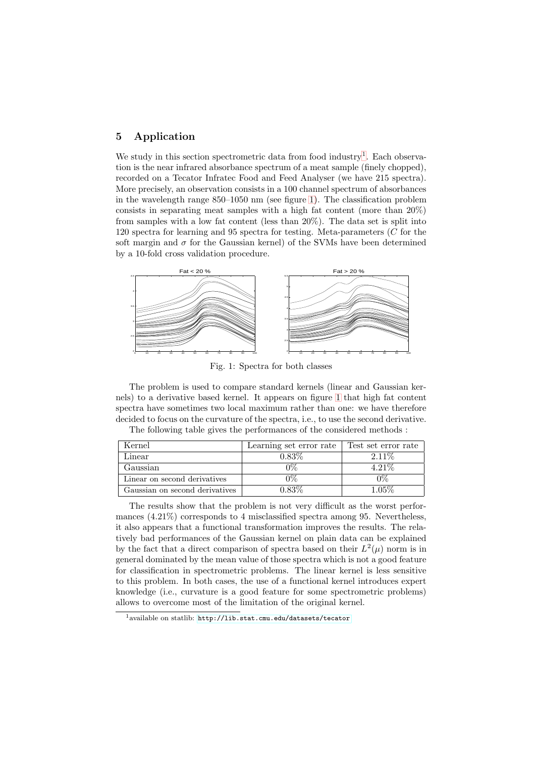# <span id="page-4-0"></span>5 Application

We study in this section spectrometric data from food industry<sup>[1](#page-4-1)</sup>. Each observation is the near infrared absorbance spectrum of a meat sample (finely chopped), recorded on a Tecator Infratec Food and Feed Analyser (we have 215 spectra). More precisely, an observation consists in a 100 channel spectrum of absorbances in the wavelength range 850–1050 nm (see figure [1\)](#page-4-2). The classification problem consists in separating meat samples with a high fat content (more than 20%) from samples with a low fat content (less than 20%). The data set is split into 120 spectra for learning and 95 spectra for testing. Meta-parameters (C for the soft margin and  $\sigma$  for the Gaussian kernel) of the SVMs have been determined by a 10-fold cross validation procedure.



<span id="page-4-2"></span>Fig. 1: Spectra for both classes

The problem is used to compare standard kernels (linear and Gaussian kernels) to a derivative based kernel. It appears on figure [1](#page-4-2) that high fat content spectra have sometimes two local maximum rather than one: we have therefore decided to focus on the curvature of the spectra, i.e., to use the second derivative. The following table gives the performances of the considered methods :

| Kernel                         | Learning set error rate | Test set error rate |
|--------------------------------|-------------------------|---------------------|
| Linear                         | $0.83\%$                | $2.11\%$            |
| Gaussian                       |                         | $4.21\%$            |
| Linear on second derivatives   |                         |                     |
| Gaussian on second derivatives | ህ 83ઈ.                  | 1 05%               |

The results show that the problem is not very difficult as the worst performances (4.21%) corresponds to 4 misclassified spectra among 95. Nevertheless, it also appears that a functional transformation improves the results. The relatively bad performances of the Gaussian kernel on plain data can be explained by the fact that a direct comparison of spectra based on their  $L^2(\mu)$  norm is in general dominated by the mean value of those spectra which is not a good feature for classification in spectrometric problems. The linear kernel is less sensitive to this problem. In both cases, the use of a functional kernel introduces expert knowledge (i.e., curvature is a good feature for some spectrometric problems) allows to overcome most of the limitation of the original kernel.

<span id="page-4-1"></span><sup>1</sup>available on statlib: <http://lib.stat.cmu.edu/datasets/tecator>